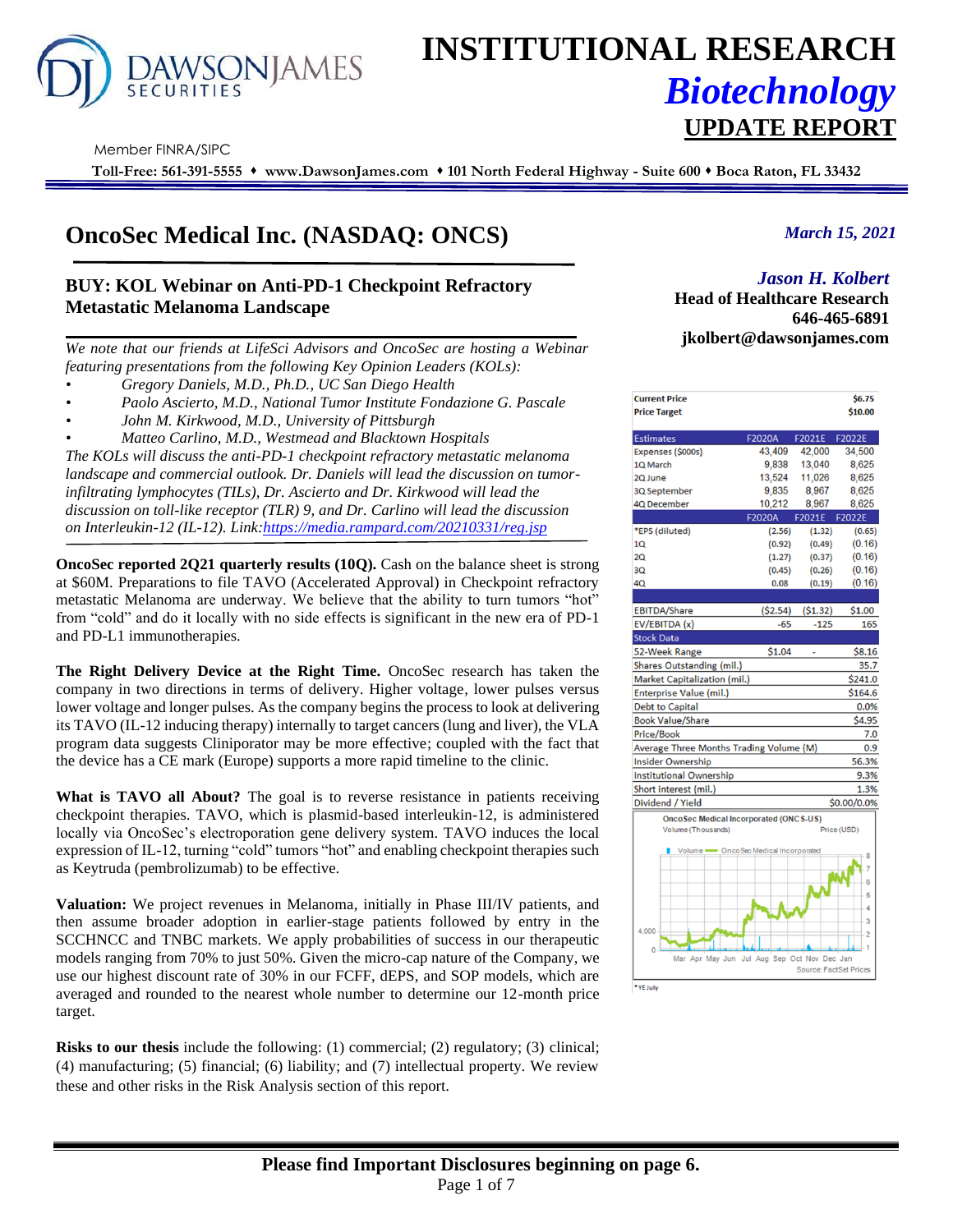

# **INSTITUTIONAL RESEARCH** *Biotechnology*

#### Member FINRA/SIPC

**Toll-Free: 561-391-5555** ⬧ **www.DawsonJames.com** ⬧ **101 North Federal Highway - Suite 600** ⬧ **Boca Raton, FL 33432**

# **OncoSec Medical Inc. (NASDAQ: ONCS)**

# **BUY: KOL Webinar on Anti-PD-1 Checkpoint Refractory Metastatic Melanoma Landscape**

*We note that our friends at LifeSci Advisors and OncoSec are hosting a Webinar featuring presentations from the following Key Opinion Leaders (KOLs):*

- *• Gregory Daniels, M.D., Ph.D., UC San Diego Health*
- *• Paolo Ascierto, M.D., National Tumor Institute Fondazione G. Pascale*
- *• John M. Kirkwood, M.D., University of Pittsburgh*

*• Matteo Carlino, M.D., Westmead and Blacktown Hospitals The KOLs will discuss the anti-PD-1 checkpoint refractory metastatic melanoma landscape and commercial outlook. Dr. Daniels will lead the discussion on tumorinfiltrating lymphocytes (TILs), Dr. Ascierto and Dr. Kirkwood will lead the discussion on toll-like receptor (TLR) 9, and Dr. Carlino will lead the discussion on Interleukin-12 (IL-12). Link[:https://media.rampard.com/20210331/reg.jsp](https://media.rampard.com/20210331/reg.jsp)*

**OncoSec reported 2Q21 quarterly results (10Q).** Cash on the balance sheet is strong at \$60M. Preparations to file TAVO (Accelerated Approval) in Checkpoint refractory metastatic Melanoma are underway. We believe that the ability to turn tumors "hot" from "cold" and do it locally with no side effects is significant in the new era of PD-1 and PD-L1 immunotherapies.

**The Right Delivery Device at the Right Time.** OncoSec research has taken the company in two directions in terms of delivery. Higher voltage, lower pulses versus lower voltage and longer pulses. As the company begins the process to look at delivering its TAVO (IL-12 inducing therapy) internally to target cancers (lung and liver), the VLA program data suggests Cliniporator may be more effective; coupled with the fact that the device has a CE mark (Europe) supports a more rapid timeline to the clinic.

**What is TAVO all About?** The goal is to reverse resistance in patients receiving checkpoint therapies. TAVO, which is plasmid-based interleukin-12, is administered locally via OncoSec's electroporation gene delivery system. TAVO induces the local expression of IL-12, turning "cold" tumors "hot" and enabling checkpoint therapies such as Keytruda (pembrolizumab) to be effective.

**Valuation:** We project revenues in Melanoma, initially in Phase III/IV patients, and then assume broader adoption in earlier-stage patients followed by entry in the SCCHNCC and TNBC markets. We apply probabilities of success in our therapeutic models ranging from 70% to just 50%. Given the micro-cap nature of the Company, we use our highest discount rate of 30% in our FCFF, dEPS, and SOP models, which are averaged and rounded to the nearest whole number to determine our 12-month price target.

**Risks to our thesis** include the following: (1) commercial; (2) regulatory; (3) clinical; (4) manufacturing; (5) financial; (6) liability; and (7) intellectual property. We review these and other risks in the Risk Analysis section of this report.

## *March 15, 2021*

#### *Jason H. Kolbert*

**Investment Highlights Head of Healthcare Research 646-465-6891 jkolbert@dawsonjames.com**

**UPDATE REPORT**

| <b>Current Price</b><br><b>Price Target</b>   |                              |                               | \$6.75<br>\$10.00 |
|-----------------------------------------------|------------------------------|-------------------------------|-------------------|
|                                               |                              |                               |                   |
| <b>Estimates</b>                              | <b>F2020A</b>                | F2021E                        | F2022E            |
| Expenses (\$000s)                             | 43.409                       | 42.000                        | 34.500            |
| 1Q March                                      | 9,838                        | 13,040                        | 8,625             |
| 2Q June                                       | 13,524                       | 11,026                        | 8.625             |
| 3Q September                                  | 9,835                        | 8,967                         | 8,625             |
| <b>4Q December</b>                            | 10.212                       | 8,967                         | 8,625             |
|                                               | F2020A                       | F2021E                        | F2022E            |
| *EPS (diluted)                                | (2.56)                       | (1.32)                        | (0.65)            |
| 1Q                                            | (0.92)                       | (0.49)                        | (0.16)            |
| 2Q                                            | (1.27)                       | (0.37)                        | (0.16)            |
| 3Q                                            | (0.45)                       | (0.26)                        | (0.16)            |
| 4Q                                            | 0.08                         | (0.19)                        | (0.16)            |
|                                               |                              |                               |                   |
| <b>EBITDA/Share</b>                           | ( \$2.54)                    | ( \$1.32)                     | \$1.00            |
| EV/EBITDA (x)                                 | $-65$                        | $-125$                        | 165               |
| <b>Stock Data</b>                             |                              |                               |                   |
| 52-Week Range                                 | \$1.04                       | ä,                            | \$8.16            |
| <b>Shares Outstanding (mil.)</b>              |                              |                               | 35.7              |
| Market Capitalization (mil.)                  |                              |                               | \$241.0           |
| <b>Enterprise Value (mil.)</b>                |                              |                               | \$164.6           |
| <b>Debt to Capital</b>                        |                              |                               | 0.0%              |
| <b>Book Value/Share</b>                       |                              |                               | \$4.95            |
| <b>Price/Book</b>                             |                              |                               | 7.0               |
| Average Three Months Trading Volume (M)       |                              |                               | 0.9               |
| <b>Insider Ownership</b>                      |                              |                               | 56.3%             |
| <b>Institutional Ownership</b>                |                              |                               | 9.3%              |
| Short interest (mil.)                         |                              |                               | 1.3%              |
| Dividend / Yield                              |                              |                               | \$0.00/0.0%       |
| <b>OncoSec Medical Incorporated (ONCS-US)</b> |                              |                               |                   |
| Volume (Thousands)                            |                              |                               | Price (USD)       |
| $Volume =$                                    | OncoSec Medical Incorporated |                               | 8                 |
|                                               |                              |                               |                   |
|                                               |                              |                               | 6                 |
|                                               |                              |                               | 5                 |
|                                               |                              |                               | Δ                 |
|                                               |                              |                               | 3                 |
| 4.000                                         |                              |                               | $\overline{c}$    |
| $\mathbf{0}$                                  |                              |                               |                   |
| Mar Apr May Jun                               | Jul Aug Sep Oct Nov Dec Jan  |                               |                   |
|                                               |                              | <b>Source: FactSet Prices</b> |                   |
| *YE July                                      |                              |                               |                   |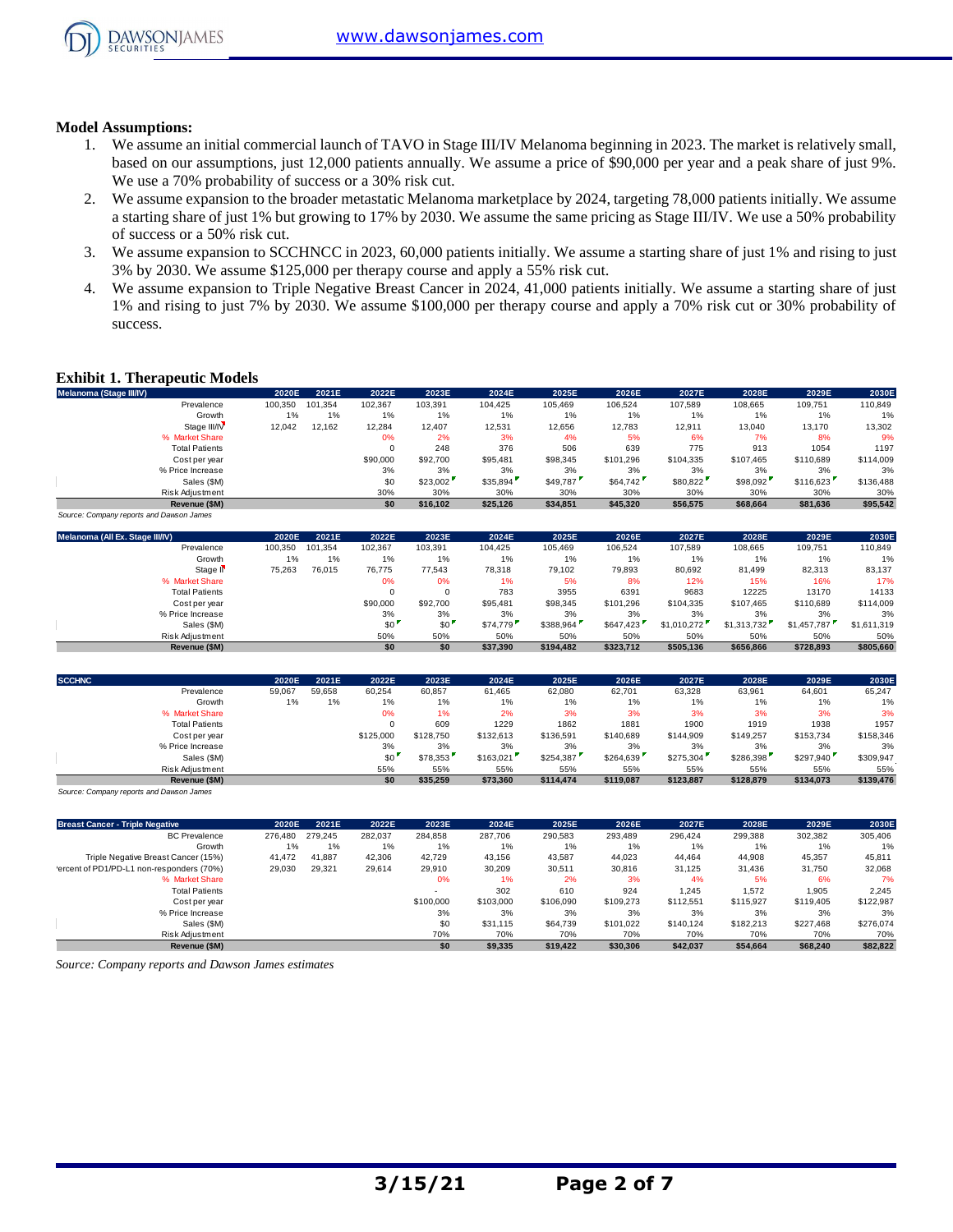

#### **Model Assumptions:**

- 1. We assume an initial commercial launch of TAVO in Stage III/IV Melanoma beginning in 2023. The market is relatively small, based on our assumptions, just 12,000 patients annually. We assume a price of \$90,000 per year and a peak share of just 9%. We use a 70% probability of success or a 30% risk cut.
- 2. We assume expansion to the broader metastatic Melanoma marketplace by 2024, targeting 78,000 patients initially. We assume a starting share of just 1% but growing to 17% by 2030. We assume the same pricing as Stage III/IV. We use a 50% probability of success or a 50% risk cut.
- 3. We assume expansion to SCCHNCC in 2023, 60,000 patients initially. We assume a starting share of just 1% and rising to just 3% by 2030. We assume \$125,000 per therapy course and apply a 55% risk cut.
- 4. We assume expansion to Triple Negative Breast Cancer in 2024, 41,000 patients initially. We assume a starting share of just 1% and rising to just 7% by 2030. We assume \$100,000 per therapy course and apply a 70% risk cut or 30% probability of success.

#### **Exhibit 1. Therapeutic Models**

| <b>Exhibit 1. Therapeutic Models</b>     |         |         |          |          |          |          |           |           |           |           |           |
|------------------------------------------|---------|---------|----------|----------|----------|----------|-----------|-----------|-----------|-----------|-----------|
| Melanoma (Stage III/IV)                  | 2020E   | 2021E   | 2022E    | 2023E    | 2024E    | 2025E    | 2026E     | 2027E     | 2028E     | 2029E     | 2030E     |
| Prevalence                               | 100,350 | 101.354 | 102,367  | 103,391  | 104.425  | 105.469  | 106,524   | 107.589   | 108,665   | 109,751   | 110,849   |
| Growth                                   | 1%      | 1%      | 1%       | 1%       | 1%       | 1%       | 1%        | 1%        | 1%        | 1%        | 1%        |
| Stage III/IV                             | 12,042  | 12,162  | 12,284   | 12,407   | 12,531   | 12,656   | 12,783    | 12,911    | 13,040    | 13,170    | 13,302    |
| % Market Share                           |         |         | 0%       | 2%       | 3%       | 4%       | 5%        | 6%        | 7%        | 8%        | 9%        |
| <b>Total Patients</b>                    |         |         | $\Omega$ | 248      | 376      | 506      | 639       | 775       | 913       | 1054      | 1197      |
| Cost per year                            |         |         | \$90,000 | \$92,700 | \$95,481 | \$98,345 | \$101.296 | \$104,335 | \$107.465 | \$110,689 | \$114,009 |
| % Price Increase                         |         |         | 3%       | 3%       | 3%       | 3%       | 3%        | 3%        | 3%        | 3%        | 3%        |
| Sales (\$M)                              |         |         | \$0      | \$23,002 | \$35,894 | \$49,787 | \$64,742  | \$80,822  | \$98,092  | \$116,623 | \$136,488 |
| Risk Adjustment                          |         |         | 30%      | 30%      | 30%      | 30%      | 30%       | 30%       | 30%       | 30%       | 30%       |
| Revenue (\$M)                            |         |         | \$0      | \$16.102 | \$25,126 | \$34,851 | \$45,320  | \$56,575  | \$68,664  | \$81,636  | \$95,542  |
| Source: Company reports and Dawson James |         |         |          |          |          |          |           |           |           |           |           |

| Sales (\$M)                              |         |         | \$0      | \$23,002 | \$35,894 | \$49,787  | \$64,742  | \$80,822    | \$98,092    | \$116,623   | \$136,488   |
|------------------------------------------|---------|---------|----------|----------|----------|-----------|-----------|-------------|-------------|-------------|-------------|
| Risk Adjustment                          |         |         | 30%      | 30%      | 30%      | 30%       | 30%       | 30%         | 30%         | 30%         | 30%         |
| Revenue (\$M)                            |         |         | \$0      | \$16,102 | \$25,126 | \$34,851  | \$45,320  | \$56,575    | \$68,664    | \$81,636    | \$95,542    |
| Source: Company reports and Dawson James |         |         |          |          |          |           |           |             |             |             |             |
| Melanoma (All Ex. Stage III/IV)          | 2020E   | 2021E   | 2022E    | 2023E    | 2024E    | 2025E     | 2026E     | 2027E       | 2028E       | 2029E       | 2030E       |
| Prevalence                               | 100,350 | 101.354 | 102,367  | 103,391  | 104,425  | 105,469   | 106,524   | 107,589     | 108,665     | 109,751     | 110,849     |
| Growth                                   | 1%      | 1%      | 1%       | 1%       | 1%       | $1\%$     | 1%        | 1%          | 1%          | 1%          | 1%          |
| Stage II <sup></sup>                     | 75,263  | 76,015  | 76,775   | 77,543   | 78,318   | 79,102    | 79,893    | 80,692      | 81,499      | 82,313      | 83,137      |
| % Market Share                           |         |         | 0%       | 0%       | 1%       | 5%        | 8%        | 12%         | 15%         | 16%         | 17%         |
| <b>Total Patients</b>                    |         |         |          | $\Omega$ | 783      | 3955      | 6391      | 9683        | 12225       | 13170       | 14133       |
| Cost per year                            |         |         | \$90,000 | \$92,700 | \$95,481 | \$98,345  | \$101.296 | \$104.335   | \$107,465   | \$110,689   | \$114,009   |
| % Price Increase                         |         |         | 3%       | 3%       | 3%       | 3%        | 3%        | 3%          | 3%          | 3%          | 3%          |
| Sales (\$M)                              |         |         | \$0      | \$0      | \$74,779 | \$388,964 | \$647,423 | \$1,010,272 | \$1,313,732 | \$1,457,787 | \$1,611,319 |
| <b>Risk Adiustment</b>                   |         |         | 50%      | 50%      | 50%      | 50%       | 50%       | 50%         | 50%         | 50%         | 50%         |
| Revenue (\$M)                            |         |         | \$0      | \$0      | \$37,390 | \$194,482 | \$323,712 | \$505,136   | \$656,866   | \$728,893   | \$805,660   |
|                                          |         |         |          |          |          |           |           |             |             |             |             |
|                                          |         |         |          |          |          |           |           |             |             |             |             |

|               | Sales (\$M)                              |        |        | \$0       | \$0       | \$74,779  | \$388,964 | \$647.423 | \$1,010,272 | \$1,313,732 | \$1,457,787 | \$1.611.319 |
|---------------|------------------------------------------|--------|--------|-----------|-----------|-----------|-----------|-----------|-------------|-------------|-------------|-------------|
|               | Risk Adjustment                          |        |        | 50%       | 50%       | 50%       | 50%       | 50%       | 50%         | 50%         | 50%         | 50%         |
|               | Revenue (\$M)                            |        |        | \$0       | \$0       | \$37,390  | \$194,482 | \$323.712 | \$505,136   | \$656,866   | \$728,893   | \$805,660   |
| <b>SCCHNC</b> |                                          | 2020E  | 2021E  | 2022E     | 2023E     | 2024E     | 2025E     | 2026E     | 2027E       | 2028E       | 2029E       | 2030E       |
|               | Prevalence                               | 59,067 | 59,658 | 60,254    | 60,857    | 61,465    | 62,080    | 62,701    | 63,328      | 63,961      | 64,601      | 65,247      |
|               | Growth                                   | 1%     | 1%     | 1%        | 1%        | 1%        | 1%        | 1%        | 1%          | 1%          | 1%          | 1%          |
|               | % Market Share                           |        |        | 0%        | 1%        | 2%        | 3%        | 3%        | 3%          | 3%          | 3%          | 3%          |
|               | <b>Total Patients</b>                    |        |        |           | 609       | 1229      | 1862      | 1881      | 1900        | 1919        | 1938        | 1957        |
|               | Cost per year                            |        |        | \$125,000 | \$128,750 | \$132,613 | \$136,591 | \$140,689 | \$144,909   | \$149,257   | \$153,734   | \$158,346   |
|               | % Price Increase                         |        |        | 3%        | 3%        | 3%        | 3%        | 3%        | 3%          | 3%          | 3%          | 3%          |
|               | Sales (\$M)                              |        |        | \$0       | \$78,353  | \$163,021 | \$254,387 | \$264,639 | \$275,304   | \$286,398   | \$297,940   | \$309,947   |
|               | <b>Risk Adiustment</b>                   |        |        | 55%       | 55%       | 55%       | 55%       | 55%       | 55%         | 55%         | 55%         | 55%         |
|               | Revenue (\$M)                            |        |        | \$0       | \$35,259  | \$73,360  | \$114,474 | \$119,087 | \$123,887   | \$128,879   | \$134,073   | \$139,476   |
|               | Source: Company reports and Dawson James |        |        |           |           |           |           |           |             |             |             |             |

| Risk Adjustment                                    |         |         | 55%     | 55%       | 55%       | 55%       | 55%       | 55%       | 55%       | 55%       | 55%       |
|----------------------------------------------------|---------|---------|---------|-----------|-----------|-----------|-----------|-----------|-----------|-----------|-----------|
| Revenue (\$M)                                      |         |         | \$0     | \$35,259  | \$73,360  | \$114,474 | \$119,087 | \$123.887 | \$128,879 | \$134,073 | \$139,476 |
| Source: Company reports and Dawson James           |         |         |         |           |           |           |           |           |           |           |           |
| <b>Breast Cancer - Triple Negative</b>             | 2020E   | 2021E   | 2022E   | 2023E     | 2024E     | 2025E     | 2026E     | 2027E     | 2028E     | 2029E     | 2030E     |
| <b>BC</b> Prevalence                               | 276.480 | 279.245 | 282,037 | 284.858   | 287,706   | 290,583   | 293.489   | 296.424   | 299,388   | 302,382   | 305,406   |
| Growth                                             | 1%      | 1%      | 1%      | 1%        | 1%        | 1%        | 1%        | 1%        | 1%        | 1%        | 1%        |
| Triple Negative Breast Cancer (15%)                | 41,472  | 41,887  | 42,306  | 42.729    | 43,156    | 43,587    | 44,023    | 44.464    | 44,908    | 45,357    | 45,811    |
| 'ercent of PD1/PD-L1 non-responders (70%)          | 29,030  | 29,321  | 29,614  | 29,910    | 30,209    | 30,511    | 30,816    | 31,125    | 31,436    | 31,750    | 32,068    |
| % Market Share                                     |         |         |         | 0%        | 1%        | 2%        | 3%        | 4%        | 5%        | 6%        | 7%        |
| <b>Total Patients</b>                              |         |         |         |           | 302       | 610       | 924       | 1,245     | 1,572     | 1,905     | 2,245     |
| Cost per year                                      |         |         |         | \$100,000 | \$103,000 | \$106,090 | \$109.273 | \$112,551 | \$115,927 | \$119,405 | \$122,987 |
| % Price Increase                                   |         |         |         | 3%        | 3%        | 3%        | 3%        | 3%        | 3%        | 3%        | 3%        |
| Sales (\$M)                                        |         |         |         | \$0       | \$31.115  | \$64,739  | \$101.022 | \$140.124 | \$182,213 | \$227,468 | \$276,074 |
| Risk Adjustment                                    |         |         |         | 70%       | 70%       | 70%       | 70%       | 70%       | 70%       | 70%       | 70%       |
| Revenue (\$M)                                      |         |         |         | \$0       | \$9,335   | \$19,422  | \$30,306  | \$42,037  | \$54,664  | \$68,240  | \$82,822  |
| Source: Company reports and Dawson James estimates |         |         |         |           |           |           |           |           |           |           |           |

*Source: Company reports and Dawson James estimates*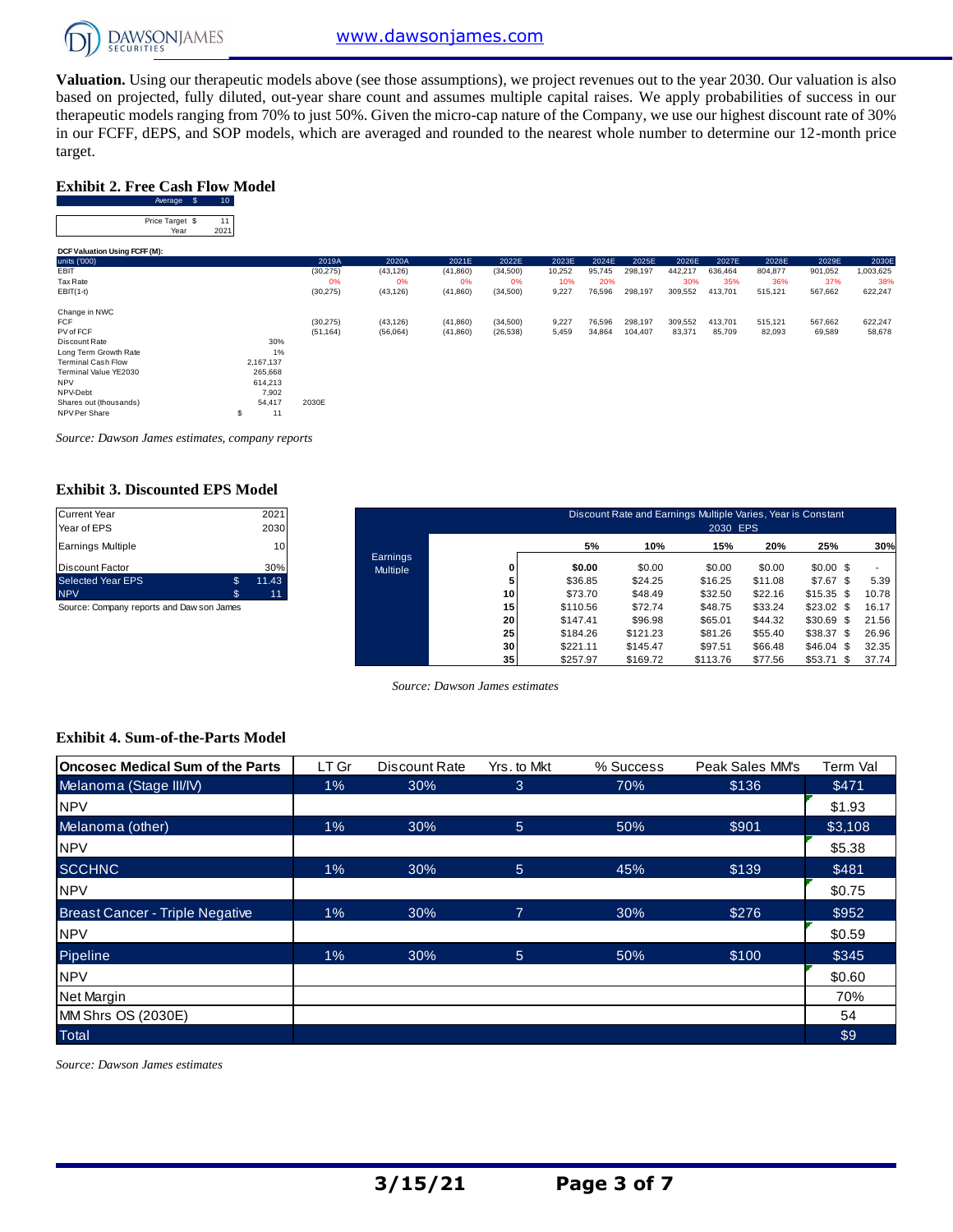

**Valuation.** Using our therapeutic models above (see those assumptions), we project revenues out to the year 2030. Our valuation is also based on projected, fully diluted, out-year share count and assumes multiple capital raises. We apply probabilities of success in our therapeutic models ranging from 70% to just 50%. Given the micro-cap nature of the Company, we use our highest discount rate of 30% Exhibit 2. Free Cash Flow Model<br>
Exhibit 2. Free Cash Flow Model<br>
Average \$ 10<br>
Price Tange \$ 10 target.

#### **Exhibit 2. Free Cash Flow Model**

| target.                                |                 |           |           |           |           |        |        |         |         |         |         |         |           |
|----------------------------------------|-----------------|-----------|-----------|-----------|-----------|--------|--------|---------|---------|---------|---------|---------|-----------|
| <b>Exhibit 2. Free Cash Flow Model</b> |                 |           |           |           |           |        |        |         |         |         |         |         |           |
| Average \$                             | 10 <sub>1</sub> |           |           |           |           |        |        |         |         |         |         |         |           |
| Price Target \$<br>Year                | 11<br>2021      |           |           |           |           |        |        |         |         |         |         |         |           |
| DCF Valuation Using FCFF (M):          |                 |           |           |           |           |        |        |         |         |         |         |         |           |
| units ('000)                           |                 | 2019A     | 2020A     | 2021E     | 2022E     | 2023E  | 2024E  | 2025E   | 2026E   | 2027E   | 2028E   | 2029E   | 2030E     |
| EBIT                                   |                 | (30, 275) | (43, 126) | (41, 860) | (34,500)  | 10,252 | 95,745 | 298,197 | 442,217 | 636,464 | 804,877 | 901,052 | 1,003,625 |
| Tax Rate                               |                 | 0%        | 0%        | 0%        | 0%        | 10%    | 20%    |         | 30%     | 35%     | 36%     | 37%     | 38%       |
| $EBIT(1-t)$                            |                 | (30, 275) | (43, 126) | (41, 860) | (34, 500) | 9,227  | 76,596 | 298,197 | 309,552 | 413,701 | 515,121 | 567,662 | 622,247   |
| Change in NWC                          |                 |           |           |           |           |        |        |         |         |         |         |         |           |
| <b>FCF</b>                             |                 | (30, 275) | (43, 126) | (41, 860) | (34, 500) | 9,227  | 76,596 | 298,197 | 309,552 | 413,701 | 515,121 | 567,662 | 622,247   |
| PV of FCF                              |                 | (51, 164) | (56,064)  | (41, 860) | (26, 538) | 5,459  | 34,864 | 104,407 | 83,371  | 85,709  | 82,093  | 69,589  | 58,678    |
| Discount Rate                          | 30%             |           |           |           |           |        |        |         |         |         |         |         |           |
| Long Term Growth Rate                  | 1%              |           |           |           |           |        |        |         |         |         |         |         |           |
| <b>Terminal Cash Flow</b>              | 2,167,137       |           |           |           |           |        |        |         |         |         |         |         |           |
| Terminal Value YE2030                  | 265,668         |           |           |           |           |        |        |         |         |         |         |         |           |
| <b>NPV</b>                             | 614,213         |           |           |           |           |        |        |         |         |         |         |         |           |
| NPV-Debt                               | 7,902           |           |           |           |           |        |        |         |         |         |         |         |           |
| Shares out (thousands)                 | 54,417          | 2030E     |           |           |           |        |        |         |         |         |         |         |           |
| NPV Per Share                          | \$<br>11        |           |           |           |           |        |        |         |         |         |         |         |           |

*Source: Dawson James estimates, company reports*

#### **Exhibit 3. Discounted EPS Model**

| 2030<br>10                               |
|------------------------------------------|
|                                          |
|                                          |
| 30%                                      |
| \$<br>11.43                              |
| \$<br>11                                 |
| Courage Company reports and Dougan James |

| <b>Current Year</b><br>Year of EPS        | 2021<br>2030          |                      |                 |          | Discount Rate and Earnings Multiple Varies, Year is Constant | 2030 EPS |         |               |       |
|-------------------------------------------|-----------------------|----------------------|-----------------|----------|--------------------------------------------------------------|----------|---------|---------------|-------|
| <b>Earnings Multiple</b>                  | 10                    |                      |                 | 5%       | 10%                                                          | 15%      | 20%     | 25%           | 30%   |
| Discount Factor                           | 30%                   | Earnings<br>Multiple | 0               | \$0.00   | \$0.00                                                       | \$0.00   | \$0.00  | $$0.00$ \$    |       |
| Selected Year EPS                         | $\mathbb{S}$<br>11.43 |                      |                 | \$36.85  | \$24.25                                                      | \$16.25  | \$11.08 | $$7.67$ \$    | 5.39  |
| <b>NPV</b>                                | Ŝ.<br>11'             |                      | 10 <sub>1</sub> | \$73.70  | \$48.49                                                      | \$32.50  | \$22.16 | $$15.35$ \$   | 10.78 |
| Source: Company reports and Daw son James |                       |                      | 15              | \$110.56 | \$72.74                                                      | \$48.75  | \$33.24 | $$23.02$ \$   | 16.17 |
|                                           |                       |                      | 20              | \$147.41 | \$96.98                                                      | \$65.01  | \$44.32 | \$30.69<br>\$ | 21.56 |
|                                           |                       |                      | 25              | \$184.26 | \$121.23                                                     | \$81.26  | \$55.40 | $$38.37$ \$   | 26.96 |
|                                           |                       |                      | 30              | \$221.11 | \$145.47                                                     | \$97.51  | \$66.48 | $$46.04$ \$   | 32.35 |
|                                           |                       |                      | 35 <sub>1</sub> | \$257.97 | \$169.72                                                     | \$113.76 | \$77.56 | \$53.71<br>\$ | 37.74 |

*Source: Dawson James estimates*

#### **Exhibit 4. Sum-of-the-Parts Model**

| <b>Oncosec Medical Sum of the Parts</b> | LT Gr | Discount Rate | Yrs. to Mkt | % Success | Peak Sales MM's | Term Val |
|-----------------------------------------|-------|---------------|-------------|-----------|-----------------|----------|
| Melanoma (Stage III/IV)                 | 1%    | 30%           | 3           | 70%       | \$136           | \$471    |
| <b>NPV</b>                              |       |               |             |           |                 | \$1.93   |
| Melanoma (other)                        | 1%    | 30%           | 5           | 50%       | \$901           | \$3,108  |
| <b>NPV</b>                              |       |               |             |           |                 | \$5.38   |
| <b>SCCHNC</b>                           | 1%    | 30%           | 5           | 45%       | \$139           | \$481    |
| <b>NPV</b>                              |       |               |             |           |                 | \$0.75   |
| <b>Breast Cancer - Triple Negative</b>  | 1%    | 30%           | 7           | 30%       | \$276           | \$952    |
| <b>NPV</b>                              |       |               |             |           |                 | \$0.59   |
| Pipeline                                | 1%    | 30%           | 5           | 50%       | \$100           | \$345    |
| <b>NPV</b>                              |       |               |             |           |                 | \$0.60   |
| Net Margin                              |       |               |             |           |                 | 70%      |
| MM Shrs OS (2030E)                      |       |               |             |           |                 | 54       |
| <b>Total</b>                            |       |               |             |           |                 | \$9      |

*Source: Dawson James estimates*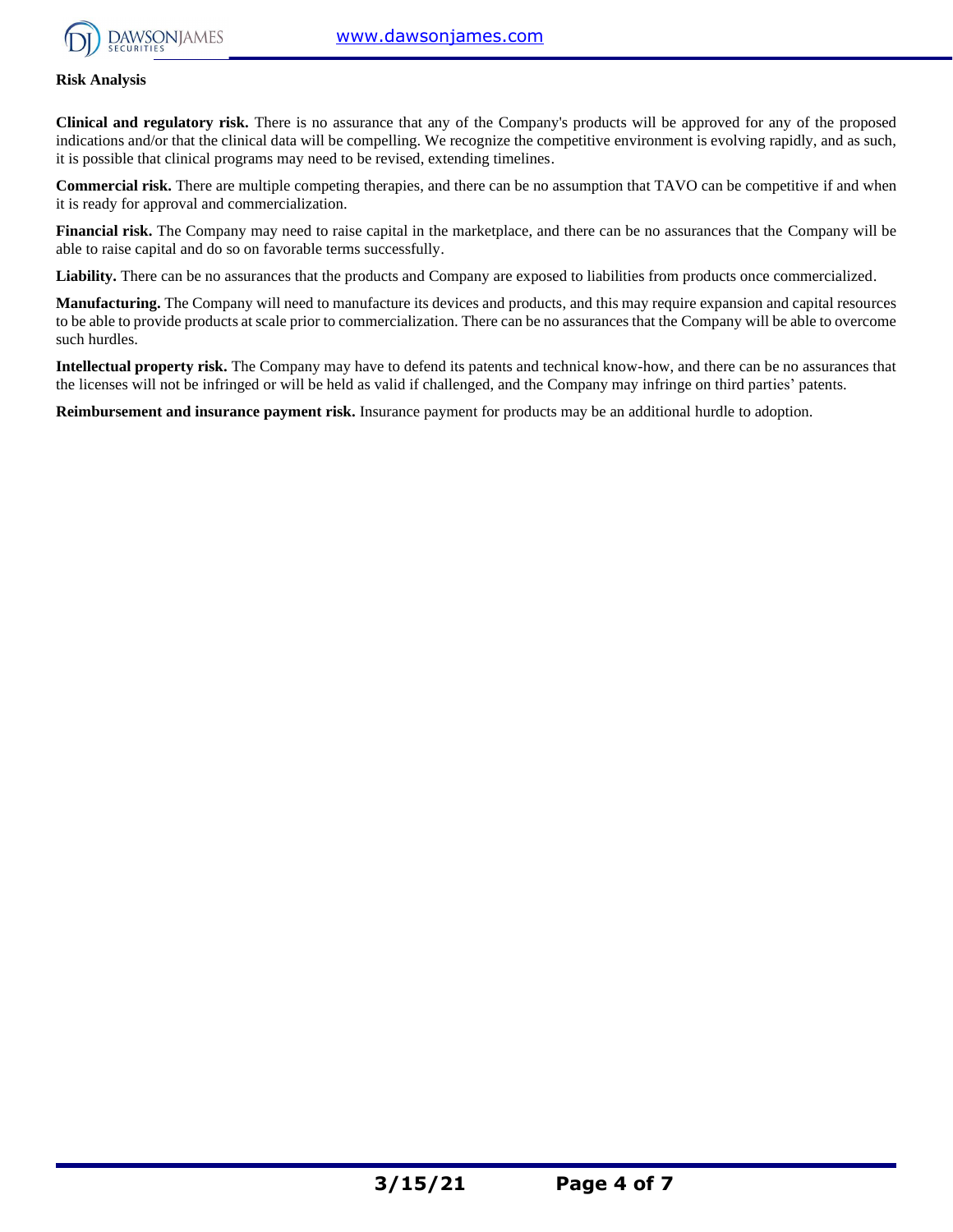

#### **Risk Analysis**

**Clinical and regulatory risk.** There is no assurance that any of the Company's products will be approved for any of the proposed indications and/or that the clinical data will be compelling. We recognize the competitive environment is evolving rapidly, and as such, it is possible that clinical programs may need to be revised, extending timelines.

**Commercial risk.** There are multiple competing therapies, and there can be no assumption that TAVO can be competitive if and when it is ready for approval and commercialization.

**Financial risk.** The Company may need to raise capital in the marketplace, and there can be no assurances that the Company will be able to raise capital and do so on favorable terms successfully.

Liability. There can be no assurances that the products and Company are exposed to liabilities from products once commercialized.

**Manufacturing.** The Company will need to manufacture its devices and products, and this may require expansion and capital resources to be able to provide products at scale prior to commercialization. There can be no assurances that the Company will be able to overcome such hurdles.

**Intellectual property risk.** The Company may have to defend its patents and technical know-how, and there can be no assurances that the licenses will not be infringed or will be held as valid if challenged, and the Company may infringe on third parties' patents.

**Reimbursement and insurance payment risk.** Insurance payment for products may be an additional hurdle to adoption.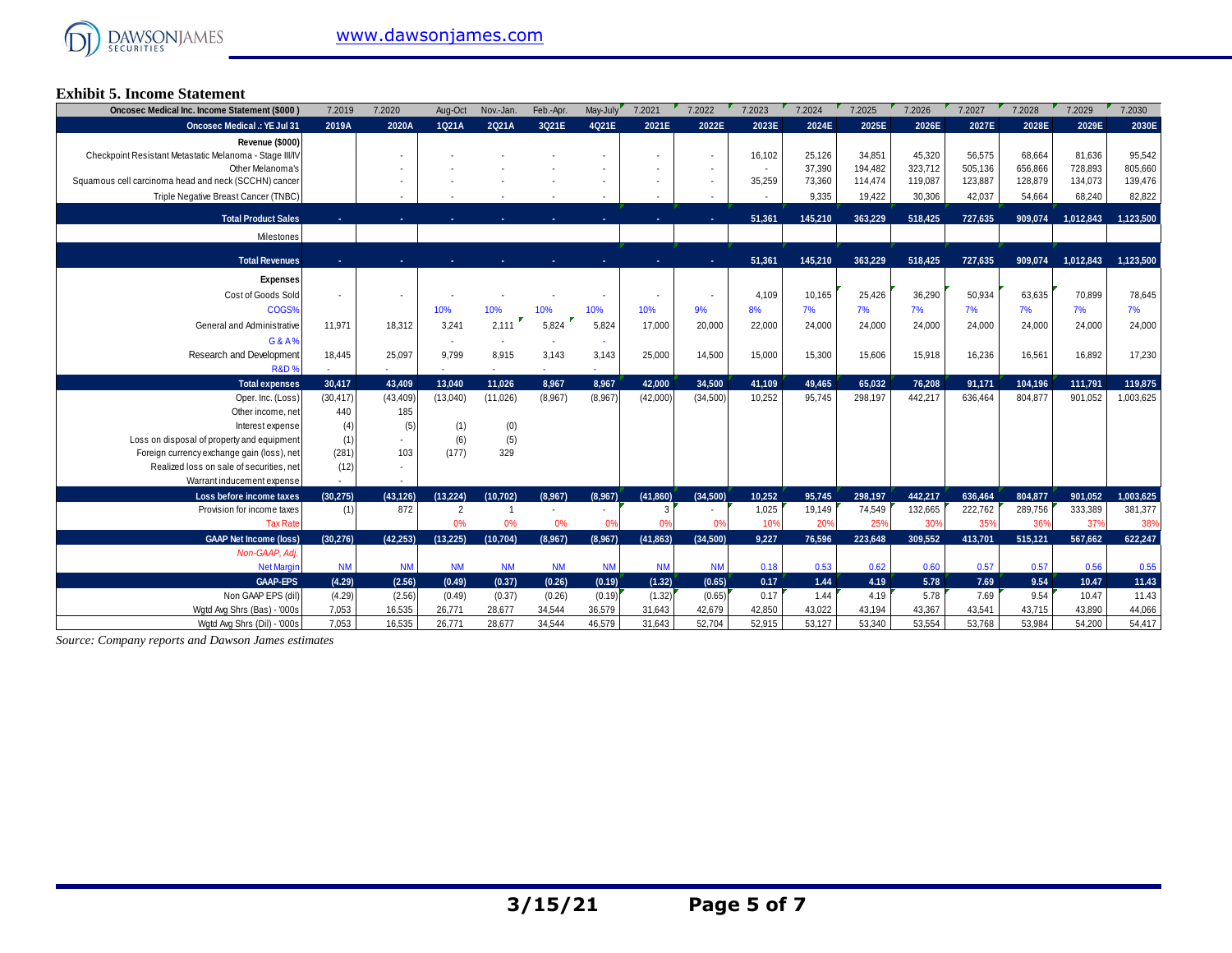

### **Exhibit 5. Income Statement**

| Oncosec Medical Inc. Income Statement (\$000)           | 7.2019    | 7.2020    | Aug-Oct        | Nov.-Jan.      | Feb.-Apr. | May-July  | 7.2021    | 7.2022         | 7.2023 | 7.2024  | 7.2025  | 7.2026  | 7.2027  | 7.2028  | 7.2029    | 7.2030    |
|---------------------------------------------------------|-----------|-----------|----------------|----------------|-----------|-----------|-----------|----------------|--------|---------|---------|---------|---------|---------|-----------|-----------|
| <b>Oncosec Medical .: YE Jul 31</b>                     | 2019A     | 2020A     | 1Q21A          | 2Q21A          | 3Q21E     | 4Q21E     | 2021E     | 2022E          | 2023E  | 2024E   | 2025E   | 2026E   | 2027E   | 2028E   | 2029E     | 2030E     |
| Revenue (\$000)                                         |           |           |                |                |           |           |           |                |        |         |         |         |         |         |           |           |
| Checkpoint Resistant Metastatic Melanoma - Stage III/IV |           |           |                |                |           |           |           |                | 16,102 | 25,126  | 34,851  | 45,320  | 56,575  | 68.664  | 81,636    | 95,542    |
| Other Melanoma's                                        |           |           |                |                |           |           |           |                |        | 37,390  | 194,482 | 323,712 | 505,136 | 656.866 | 728,893   | 805,660   |
| Squamous cell carcinoma head and neck (SCCHN) cancer    |           |           |                |                |           |           |           |                | 35,259 | 73,360  | 114,474 | 119,087 | 123,887 | 128,879 | 134,073   | 139,476   |
| Triple Negative Breast Cancer (TNBC)                    |           |           |                |                |           |           |           |                |        | 9,335   | 19,422  | 30,306  | 42,037  | 54,664  | 68,240    | 82,822    |
| <b>Total Product Sales</b>                              |           |           |                |                |           |           |           | ж.             | 51,361 | 145.210 | 363.229 | 518.425 | 727.635 | 909.074 | 1,012,843 | 1.123.500 |
| Milestones                                              |           |           |                |                |           |           |           |                |        |         |         |         |         |         |           |           |
|                                                         |           |           |                |                |           |           |           |                |        |         |         |         |         |         |           |           |
| <b>Total Revenues</b>                                   |           |           |                |                |           |           |           | ж.             | 51,361 | 145.210 | 363.229 | 518.425 | 727.635 | 909.074 | 1.012.843 | 1,123,500 |
| <b>Expenses</b>                                         |           |           |                |                |           |           |           |                |        |         |         |         |         |         |           |           |
| Cost of Goods Sold                                      |           |           |                |                |           |           |           |                | 4.109  | 10,165  | 25,426  | 36,290  | 50,934  | 63,635  | 70,899    | 78,645    |
| COGS%                                                   |           |           | 10%            | 10%            | 10%       | 10%       | 10%       | 9%             | 8%     | 7%      | 7%      | 7%      | 7%      | 7%      | 7%        | 7%        |
| General and Administrative                              | 11.971    | 18.312    | 3,241          | 2,111          | 5.824     | 5.824     | 17,000    | 20,000         | 22,000 | 24,000  | 24,000  | 24,000  | 24,000  | 24,000  | 24,000    | 24,000    |
| G&A%                                                    |           |           |                |                |           |           |           |                |        |         |         |         |         |         |           |           |
| Research and Development                                | 18,445    | 25,097    | 9,799          | 8,915          | 3,143     | 3,143     | 25,000    | 14,500         | 15,000 | 15,300  | 15,606  | 15,918  | 16,236  | 16,561  | 16,892    | 17,230    |
| <b>R&amp;D%</b>                                         |           |           |                |                |           |           |           |                |        |         |         |         |         |         |           |           |
| <b>Total expenses</b>                                   | 30.417    | 43,409    | 13.040         | 11.026         | 8.967     | 8.967     | 42.000    | 34.500         | 41,109 | 49.465  | 65.032  | 76.208  | 91,171  | 104,196 | 111,791   | 119,875   |
| Oper. Inc. (Loss)                                       | (30, 417) | (43, 409) | (13,040)       | (11,026)       | (8,967)   | (8,967)   | (42,000)  | (34,500)       | 10,252 | 95,745  | 298,197 | 442,217 | 636,464 | 804,877 | 901,052   | 1,003,625 |
| Other income, net                                       | 440       | 185       |                |                |           |           |           |                |        |         |         |         |         |         |           |           |
| Interest expense                                        | (4)       | (5)       | (1)            | (0)            |           |           |           |                |        |         |         |         |         |         |           |           |
| Loss on disposal of property and equipment              | (1)       |           | (6)            | (5)            |           |           |           |                |        |         |         |         |         |         |           |           |
| Foreign currency exchange gain (loss), net              | (281)     | 103       | (177)          | 329            |           |           |           |                |        |         |         |         |         |         |           |           |
| Realized loss on sale of securities, net                | (12)      |           |                |                |           |           |           |                |        |         |         |         |         |         |           |           |
| Warrant inducement expense                              |           |           |                |                |           |           |           |                |        |         |         |         |         |         |           |           |
| Loss before income taxes                                | (30.275)  | (43.126)  | (13.224)       | (10, 702)      | (8,967)   | (8.967)   | (41,860)  | (34.500)       | 10.252 | 95,745  | 298.197 | 442.217 | 636,464 | 804,877 | 901,052   | 1,003,625 |
| Provision for income taxes                              | (1)       | 872       | $\overline{2}$ | $\overline{1}$ |           |           | 3         | $\sim$         | 1,025  | 19,149  | 74,549  | 132,665 | 222,762 | 289,756 | 333,389   | 381,377   |
| <b>Tax Rate</b>                                         |           |           | 0%             | 0%             | 0%        | 0%        | 0%        | 0 <sup>9</sup> | 10%    | 20%     | 25%     | 30%     | 35%     | 36%     | 37%       | 38%       |
| <b>GAAP Net Income (loss)</b>                           | (30.276)  | (42.253)  | (13.225)       | (10, 704)      | (8,967)   | (8.967)   | (41, 863) | (34.500)       | 9,227  | 76.596  | 223,648 | 309.552 | 413.701 | 515,121 | 567.662   | 622.247   |
| Non-GAAP, Adj.                                          |           |           |                |                |           |           |           |                |        |         |         |         |         |         |           |           |
| <b>Net Margin</b>                                       | <b>NM</b> | <b>NM</b> | <b>NM</b>      | <b>NM</b>      | <b>NM</b> | <b>NM</b> | <b>NM</b> | <b>NM</b>      | 0.18   | 0.53    | 0.62    | 0.60    | 0.57    | 0.57    | 0.56      | 0.55      |
| <b>GAAP-EPS</b>                                         | (4.29)    | (2.56)    | (0.49)         | (0.37)         | (0.26)    | (0.19)    | (1.32)    | (0.65)         | 0.17   | 1.44    | 4.19    | 5.78    | 7.69    | 9.54    | 10.47     | 11.43     |
| Non GAAP EPS (dil)                                      | (4.29)    | (2.56)    | (0.49)         | (0.37)         | (0.26)    | (0.19)    | (1.32)    | (0.65)         | 0.17   | 1.44    | 4.19    | 5.78    | 7.69    | 9.54    | 10.47     | 11.43     |
| Wgtd Avg Shrs (Bas) - '000s                             | 7.053     | 16,535    | 26,771         | 28,677         | 34,544    | 36,579    | 31,643    | 42,679         | 42,850 | 43,022  | 43,194  | 43,367  | 43,541  | 43,715  | 43,890    | 44,066    |
| Watd Ava Shrs (Dil) - '000s                             | 7.053     | 16.535    | 26.771         | 28.677         | 34.544    | 46.579    | 31.643    | 52.704         | 52.915 | 53.127  | 53.340  | 53.554  | 53.768  | 53,984  | 54.200    | 54.417    |

*Source: Company reports and Dawson James estimates*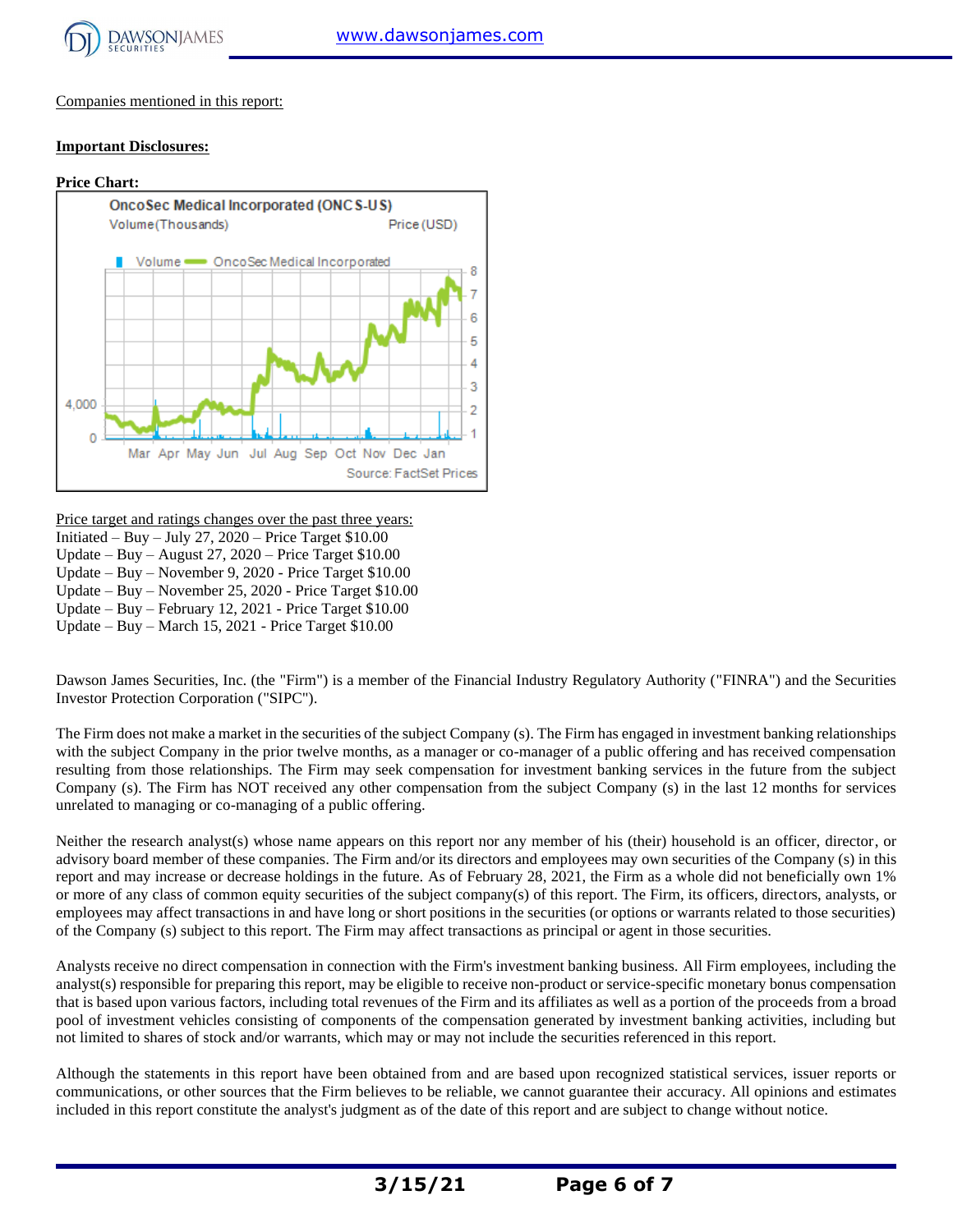

Companies mentioned in this report:

#### **Important Disclosures:**



Price target and ratings changes over the past three years:

Initiated – Buy – July 27,  $2020$  – Price Target \$10.00

Update – Buy – August 27, 2020 – Price Target \$10.00

Update – Buy – November 9, 2020 - Price Target \$10.00 Update – Buy – November 25, 2020 - Price Target \$10.00

Update – Buy – February 12, 2021 - Price Target \$10.00

Update – Buy – March 15, 2021 - Price Target \$10.00

Dawson James Securities, Inc. (the "Firm") is a member of the Financial Industry Regulatory Authority ("FINRA") and the Securities Investor Protection Corporation ("SIPC").

The Firm does not make a market in the securities of the subject Company (s). The Firm has engaged in investment banking relationships with the subject Company in the prior twelve months, as a manager or co-manager of a public offering and has received compensation resulting from those relationships. The Firm may seek compensation for investment banking services in the future from the subject Company (s). The Firm has NOT received any other compensation from the subject Company (s) in the last 12 months for services unrelated to managing or co-managing of a public offering.

Neither the research analyst(s) whose name appears on this report nor any member of his (their) household is an officer, director, or advisory board member of these companies. The Firm and/or its directors and employees may own securities of the Company (s) in this report and may increase or decrease holdings in the future. As of February 28, 2021, the Firm as a whole did not beneficially own 1% or more of any class of common equity securities of the subject company(s) of this report. The Firm, its officers, directors, analysts, or employees may affect transactions in and have long or short positions in the securities (or options or warrants related to those securities) of the Company (s) subject to this report. The Firm may affect transactions as principal or agent in those securities.

Analysts receive no direct compensation in connection with the Firm's investment banking business. All Firm employees, including the analyst(s) responsible for preparing this report, may be eligible to receive non-product or service-specific monetary bonus compensation that is based upon various factors, including total revenues of the Firm and its affiliates as well as a portion of the proceeds from a broad pool of investment vehicles consisting of components of the compensation generated by investment banking activities, including but not limited to shares of stock and/or warrants, which may or may not include the securities referenced in this report.

Although the statements in this report have been obtained from and are based upon recognized statistical services, issuer reports or communications, or other sources that the Firm believes to be reliable, we cannot guarantee their accuracy. All opinions and estimates included in this report constitute the analyst's judgment as of the date of this report and are subject to change without notice.